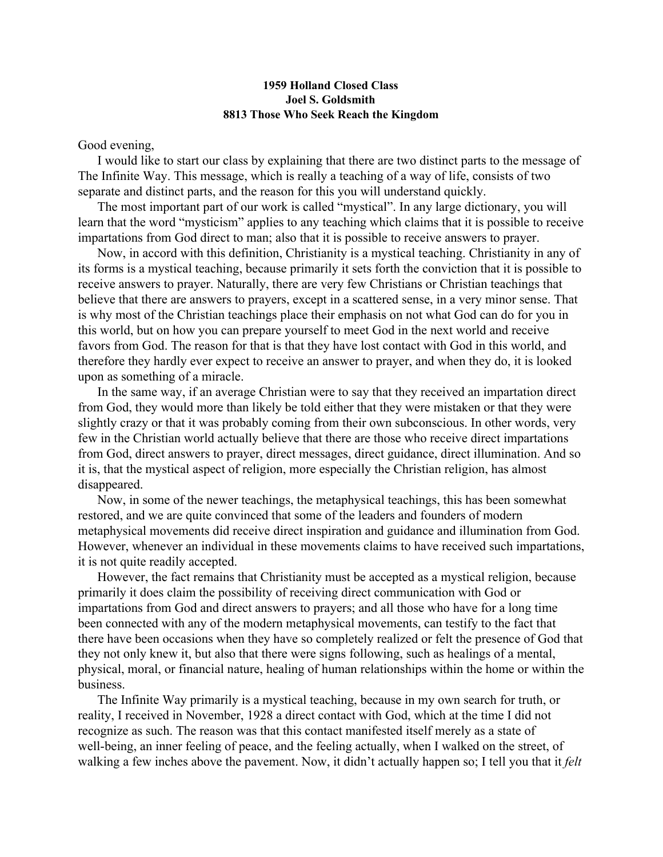## **1959 Holland Closed Class Joel S. Goldsmith 8813 Those Who Seek Reach the Kingdom**

Good evening,

I would like to start our class by explaining that there are two distinct parts to the message of The Infinite Way. This message, which is really a teaching of a way of life, consists of two separate and distinct parts, and the reason for this you will understand quickly.

The most important part of our work is called "mystical". In any large dictionary, you will learn that the word "mysticism" applies to any teaching which claims that it is possible to receive impartations from God direct to man; also that it is possible to receive answers to prayer.

Now, in accord with this definition, Christianity is a mystical teaching. Christianity in any of its forms is a mystical teaching, because primarily it sets forth the conviction that it is possible to receive answers to prayer. Naturally, there are very few Christians or Christian teachings that believe that there are answers to prayers, except in a scattered sense, in a very minor sense. That is why most of the Christian teachings place their emphasis on not what God can do for you in this world, but on how you can prepare yourself to meet God in the next world and receive favors from God. The reason for that is that they have lost contact with God in this world, and therefore they hardly ever expect to receive an answer to prayer, and when they do, it is looked upon as something of a miracle.

In the same way, if an average Christian were to say that they received an impartation direct from God, they would more than likely be told either that they were mistaken or that they were slightly crazy or that it was probably coming from their own subconscious. In other words, very few in the Christian world actually believe that there are those who receive direct impartations from God, direct answers to prayer, direct messages, direct guidance, direct illumination. And so it is, that the mystical aspect of religion, more especially the Christian religion, has almost disappeared.

Now, in some of the newer teachings, the metaphysical teachings, this has been somewhat restored, and we are quite convinced that some of the leaders and founders of modern metaphysical movements did receive direct inspiration and guidance and illumination from God. However, whenever an individual in these movements claims to have received such impartations, it is not quite readily accepted.

However, the fact remains that Christianity must be accepted as a mystical religion, because primarily it does claim the possibility of receiving direct communication with God or impartations from God and direct answers to prayers; and all those who have for a long time been connected with any of the modern metaphysical movements, can testify to the fact that there have been occasions when they have so completely realized or felt the presence of God that they not only knew it, but also that there were signs following, such as healings of a mental, physical, moral, or financial nature, healing of human relationships within the home or within the business.

The Infinite Way primarily is a mystical teaching, because in my own search for truth, or reality, I received in November, 1928 a direct contact with God, which at the time I did not recognize as such. The reason was that this contact manifested itself merely as a state of well-being, an inner feeling of peace, and the feeling actually, when I walked on the street, of walking a few inches above the pavement. Now, it didn't actually happen so; I tell you that it *felt*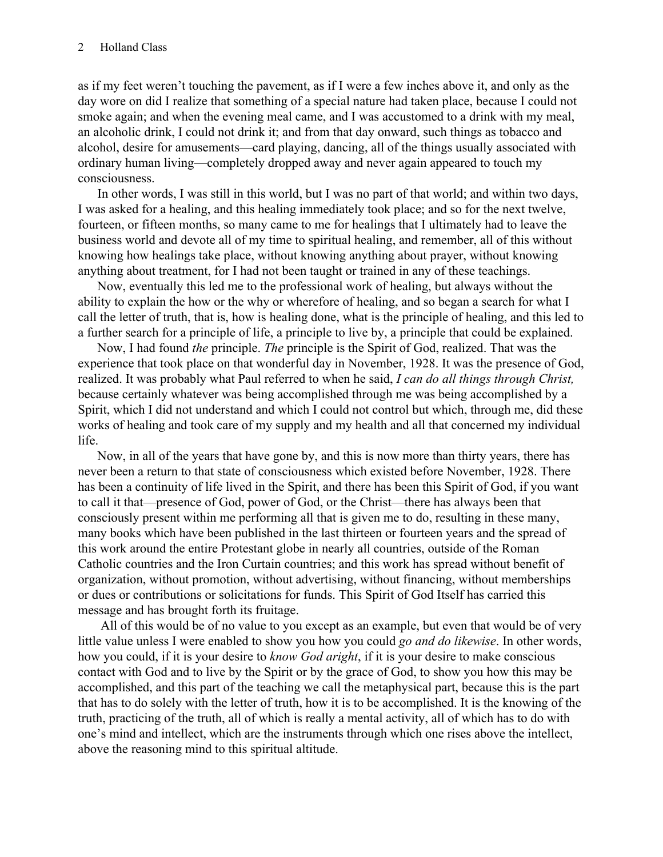as if my feet weren't touching the pavement, as if I were a few inches above it, and only as the day wore on did I realize that something of a special nature had taken place, because I could not smoke again; and when the evening meal came, and I was accustomed to a drink with my meal, an alcoholic drink, I could not drink it; and from that day onward, such things as tobacco and alcohol, desire for amusements—card playing, dancing, all of the things usually associated with ordinary human living—completely dropped away and never again appeared to touch my consciousness.

In other words, I was still in this world, but I was no part of that world; and within two days, I was asked for a healing, and this healing immediately took place; and so for the next twelve, fourteen, or fifteen months, so many came to me for healings that I ultimately had to leave the business world and devote all of my time to spiritual healing, and remember, all of this without knowing how healings take place, without knowing anything about prayer, without knowing anything about treatment, for I had not been taught or trained in any of these teachings.

Now, eventually this led me to the professional work of healing, but always without the ability to explain the how or the why or wherefore of healing, and so began a search for what I call the letter of truth, that is, how is healing done, what is the principle of healing, and this led to a further search for a principle of life, a principle to live by, a principle that could be explained.

Now, I had found *the* principle. *The* principle is the Spirit of God, realized. That was the experience that took place on that wonderful day in November, 1928. It was the presence of God, realized. It was probably what Paul referred to when he said, *I can do all things through Christ,* because certainly whatever was being accomplished through me was being accomplished by a Spirit, which I did not understand and which I could not control but which, through me, did these works of healing and took care of my supply and my health and all that concerned my individual life.

Now, in all of the years that have gone by, and this is now more than thirty years, there has never been a return to that state of consciousness which existed before November, 1928. There has been a continuity of life lived in the Spirit, and there has been this Spirit of God, if you want to call it that—presence of God, power of God, or the Christ—there has always been that consciously present within me performing all that is given me to do, resulting in these many, many books which have been published in the last thirteen or fourteen years and the spread of this work around the entire Protestant globe in nearly all countries, outside of the Roman Catholic countries and the Iron Curtain countries; and this work has spread without benefit of organization, without promotion, without advertising, without financing, without memberships or dues or contributions or solicitations for funds. This Spirit of God Itself has carried this message and has brought forth its fruitage.

 All of this would be of no value to you except as an example, but even that would be of very little value unless I were enabled to show you how you could *go and do likewise*. In other words, how you could, if it is your desire to *know God aright*, if it is your desire to make conscious contact with God and to live by the Spirit or by the grace of God, to show you how this may be accomplished, and this part of the teaching we call the metaphysical part, because this is the part that has to do solely with the letter of truth, how it is to be accomplished. It is the knowing of the truth, practicing of the truth, all of which is really a mental activity, all of which has to do with one's mind and intellect, which are the instruments through which one rises above the intellect, above the reasoning mind to this spiritual altitude.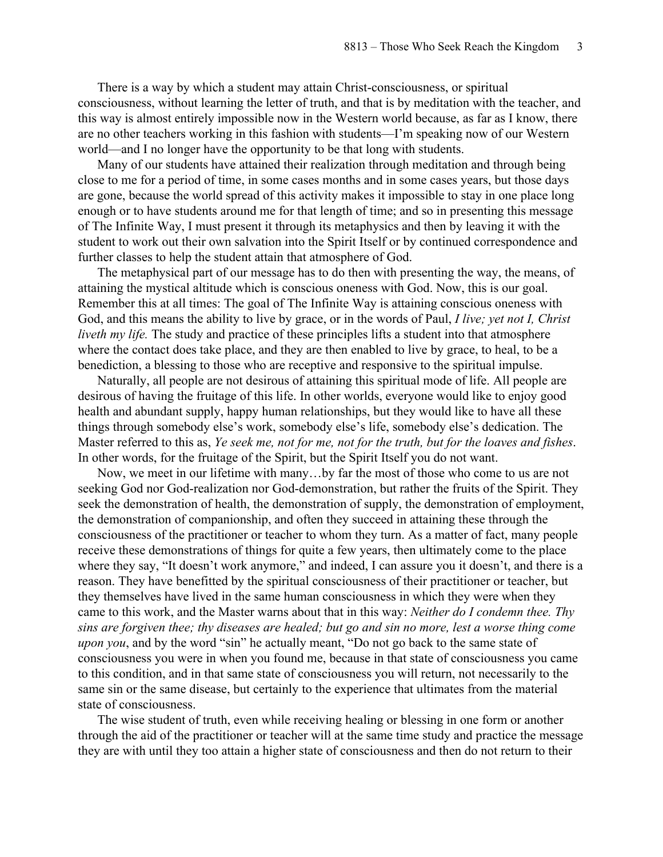There is a way by which a student may attain Christ-consciousness, or spiritual consciousness, without learning the letter of truth, and that is by meditation with the teacher, and this way is almost entirely impossible now in the Western world because, as far as I know, there are no other teachers working in this fashion with students—I'm speaking now of our Western world—and I no longer have the opportunity to be that long with students.

Many of our students have attained their realization through meditation and through being close to me for a period of time, in some cases months and in some cases years, but those days are gone, because the world spread of this activity makes it impossible to stay in one place long enough or to have students around me for that length of time; and so in presenting this message of The Infinite Way, I must present it through its metaphysics and then by leaving it with the student to work out their own salvation into the Spirit Itself or by continued correspondence and further classes to help the student attain that atmosphere of God.

The metaphysical part of our message has to do then with presenting the way, the means, of attaining the mystical altitude which is conscious oneness with God. Now, this is our goal. Remember this at all times: The goal of The Infinite Way is attaining conscious oneness with God, and this means the ability to live by grace, or in the words of Paul, *I live; yet not I, Christ liveth my life.* The study and practice of these principles lifts a student into that atmosphere where the contact does take place, and they are then enabled to live by grace, to heal, to be a benediction, a blessing to those who are receptive and responsive to the spiritual impulse.

Naturally, all people are not desirous of attaining this spiritual mode of life. All people are desirous of having the fruitage of this life. In other worlds, everyone would like to enjoy good health and abundant supply, happy human relationships, but they would like to have all these things through somebody else's work, somebody else's life, somebody else's dedication. The Master referred to this as, *Ye seek me, not for me, not for the truth, but for the loaves and fishes*. In other words, for the fruitage of the Spirit, but the Spirit Itself you do not want.

Now, we meet in our lifetime with many…by far the most of those who come to us are not seeking God nor God-realization nor God-demonstration, but rather the fruits of the Spirit. They seek the demonstration of health, the demonstration of supply, the demonstration of employment, the demonstration of companionship, and often they succeed in attaining these through the consciousness of the practitioner or teacher to whom they turn. As a matter of fact, many people receive these demonstrations of things for quite a few years, then ultimately come to the place where they say, "It doesn't work anymore," and indeed, I can assure you it doesn't, and there is a reason. They have benefitted by the spiritual consciousness of their practitioner or teacher, but they themselves have lived in the same human consciousness in which they were when they came to this work, and the Master warns about that in this way: *Neither do I condemn thee. Thy sins are forgiven thee; thy diseases are healed; but go and sin no more, lest a worse thing come upon you*, and by the word "sin" he actually meant, "Do not go back to the same state of consciousness you were in when you found me, because in that state of consciousness you came to this condition, and in that same state of consciousness you will return, not necessarily to the same sin or the same disease, but certainly to the experience that ultimates from the material state of consciousness.

The wise student of truth, even while receiving healing or blessing in one form or another through the aid of the practitioner or teacher will at the same time study and practice the message they are with until they too attain a higher state of consciousness and then do not return to their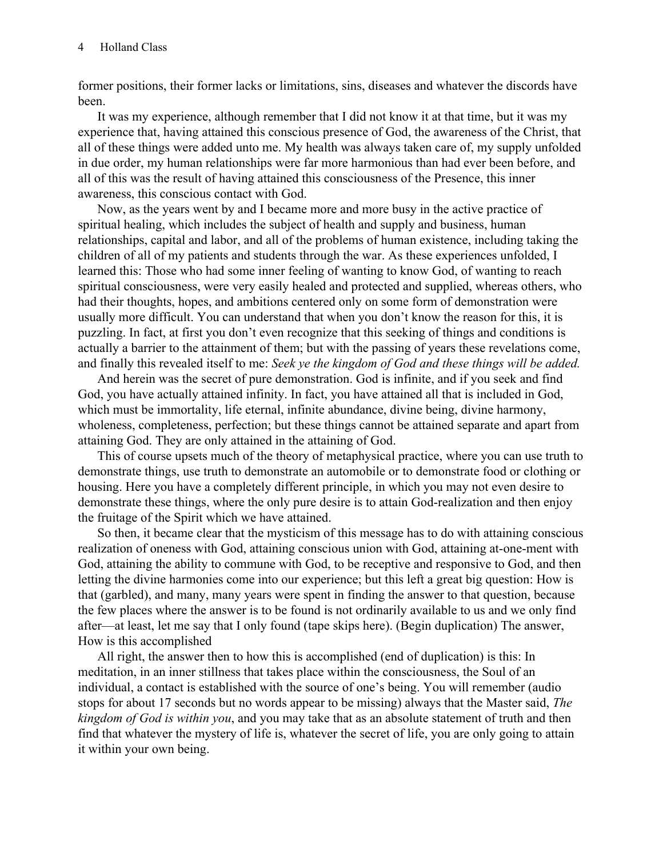former positions, their former lacks or limitations, sins, diseases and whatever the discords have been.

It was my experience, although remember that I did not know it at that time, but it was my experience that, having attained this conscious presence of God, the awareness of the Christ, that all of these things were added unto me. My health was always taken care of, my supply unfolded in due order, my human relationships were far more harmonious than had ever been before, and all of this was the result of having attained this consciousness of the Presence, this inner awareness, this conscious contact with God.

Now, as the years went by and I became more and more busy in the active practice of spiritual healing, which includes the subject of health and supply and business, human relationships, capital and labor, and all of the problems of human existence, including taking the children of all of my patients and students through the war. As these experiences unfolded, I learned this: Those who had some inner feeling of wanting to know God, of wanting to reach spiritual consciousness, were very easily healed and protected and supplied, whereas others, who had their thoughts, hopes, and ambitions centered only on some form of demonstration were usually more difficult. You can understand that when you don't know the reason for this, it is puzzling. In fact, at first you don't even recognize that this seeking of things and conditions is actually a barrier to the attainment of them; but with the passing of years these revelations come, and finally this revealed itself to me: *Seek ye the kingdom of God and these things will be added.*

And herein was the secret of pure demonstration. God is infinite, and if you seek and find God, you have actually attained infinity. In fact, you have attained all that is included in God, which must be immortality, life eternal, infinite abundance, divine being, divine harmony, wholeness, completeness, perfection; but these things cannot be attained separate and apart from attaining God. They are only attained in the attaining of God.

This of course upsets much of the theory of metaphysical practice, where you can use truth to demonstrate things, use truth to demonstrate an automobile or to demonstrate food or clothing or housing. Here you have a completely different principle, in which you may not even desire to demonstrate these things, where the only pure desire is to attain God-realization and then enjoy the fruitage of the Spirit which we have attained.

So then, it became clear that the mysticism of this message has to do with attaining conscious realization of oneness with God, attaining conscious union with God, attaining at-one-ment with God, attaining the ability to commune with God, to be receptive and responsive to God, and then letting the divine harmonies come into our experience; but this left a great big question: How is that (garbled), and many, many years were spent in finding the answer to that question, because the few places where the answer is to be found is not ordinarily available to us and we only find after—at least, let me say that I only found (tape skips here). (Begin duplication) The answer, How is this accomplished

All right, the answer then to how this is accomplished (end of duplication) is this: In meditation, in an inner stillness that takes place within the consciousness, the Soul of an individual, a contact is established with the source of one's being. You will remember (audio stops for about 17 seconds but no words appear to be missing) always that the Master said, *The kingdom of God is within you*, and you may take that as an absolute statement of truth and then find that whatever the mystery of life is, whatever the secret of life, you are only going to attain it within your own being.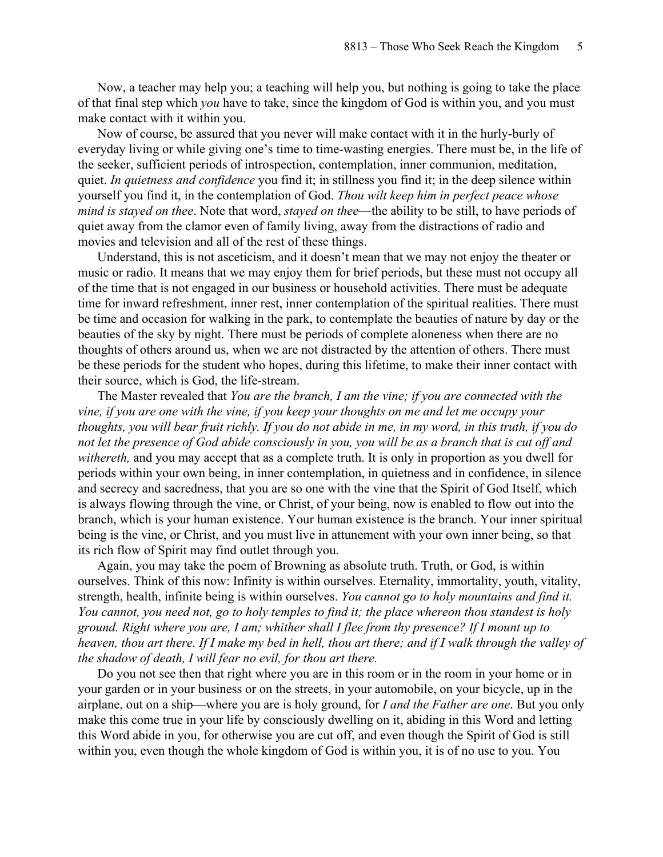Now, a teacher may help you; a teaching will help you, but nothing is going to take the place of that final step which *you* have to take, since the kingdom of God is within you, and you must make contact with it within you.

Now of course, be assured that you never will make contact with it in the hurly-burly of everyday living or while giving one's time to time-wasting energies. There must be, in the life of the seeker, sufficient periods of introspection, contemplation, inner communion, meditation, quiet. *In quietness and confidence* you find it; in stillness you find it; in the deep silence within yourself you find it, in the contemplation of God. *Thou wilt keep him in perfect peace whose mind is stayed on thee*. Note that word, *stayed on thee*—the ability to be still, to have periods of quiet away from the clamor even of family living, away from the distractions of radio and movies and television and all of the rest of these things.

Understand, this is not asceticism, and it doesn't mean that we may not enjoy the theater or music or radio. It means that we may enjoy them for brief periods, but these must not occupy all of the time that is not engaged in our business or household activities. There must be adequate time for inward refreshment, inner rest, inner contemplation of the spiritual realities. There must be time and occasion for walking in the park, to contemplate the beauties of nature by day or the beauties of the sky by night. There must be periods of complete aloneness when there are no thoughts of others around us, when we are not distracted by the attention of others. There must be these periods for the student who hopes, during this lifetime, to make their inner contact with their source, which is God, the life-stream.

The Master revealed that *You are the branch, I am the vine; if you are connected with the vine, if you are one with the vine, if you keep your thoughts on me and let me occupy your thoughts, you will bear fruit richly. If you do not abide in me, in my word, in this truth, if you do not let the presence of God abide consciously in you, you will be as a branch that is cut off and withereth,* and you may accept that as a complete truth. It is only in proportion as you dwell for periods within your own being, in inner contemplation, in quietness and in confidence, in silence and secrecy and sacredness, that you are so one with the vine that the Spirit of God Itself, which is always flowing through the vine, or Christ, of your being, now is enabled to flow out into the branch, which is your human existence. Your human existence is the branch. Your inner spiritual being is the vine, or Christ, and you must live in attunement with your own inner being, so that its rich flow of Spirit may find outlet through you.

Again, you may take the poem of Browning as absolute truth. Truth, or God, is within ourselves. Think of this now: Infinity is within ourselves. Eternality, immortality, youth, vitality, strength, health, infinite being is within ourselves. *You cannot go to holy mountains and find it. You cannot, you need not, go to holy temples to find it; the place whereon thou standest is holy ground. Right where you are, I am; whither shall I flee from thy presence? If I mount up to heaven, thou art there. If I make my bed in hell, thou art there; and if I walk through the valley of the shadow of death, I will fear no evil, for thou art there.*

Do you not see then that right where you are in this room or in the room in your home or in your garden or in your business or on the streets, in your automobile, on your bicycle, up in the airplane, out on a ship—where you are is holy ground, for *I and the Father are one*. But you only make this come true in your life by consciously dwelling on it, abiding in this Word and letting this Word abide in you, for otherwise you are cut off, and even though the Spirit of God is still within you, even though the whole kingdom of God is within you, it is of no use to you. You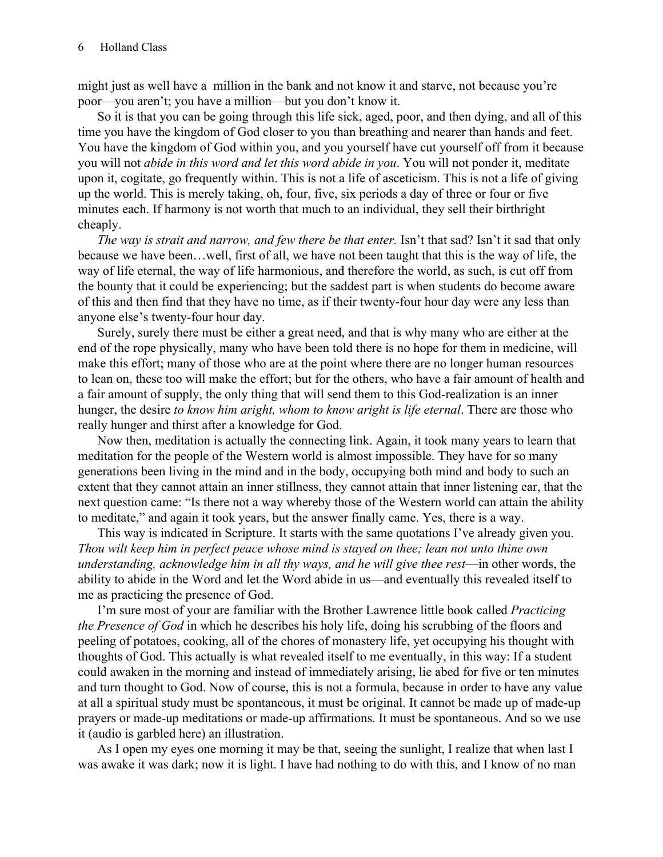might just as well have a million in the bank and not know it and starve, not because you're poor—you aren't; you have a million—but you don't know it.

So it is that you can be going through this life sick, aged, poor, and then dying, and all of this time you have the kingdom of God closer to you than breathing and nearer than hands and feet. You have the kingdom of God within you, and you yourself have cut yourself off from it because you will not *abide in this word and let this word abide in you*. You will not ponder it, meditate upon it, cogitate, go frequently within. This is not a life of asceticism. This is not a life of giving up the world. This is merely taking, oh, four, five, six periods a day of three or four or five minutes each. If harmony is not worth that much to an individual, they sell their birthright cheaply.

*The way is strait and narrow, and few there be that enter.* Isn't that sad? Isn't it sad that only because we have been…well, first of all, we have not been taught that this is the way of life, the way of life eternal, the way of life harmonious, and therefore the world, as such, is cut off from the bounty that it could be experiencing; but the saddest part is when students do become aware of this and then find that they have no time, as if their twenty-four hour day were any less than anyone else's twenty-four hour day.

Surely, surely there must be either a great need, and that is why many who are either at the end of the rope physically, many who have been told there is no hope for them in medicine, will make this effort; many of those who are at the point where there are no longer human resources to lean on, these too will make the effort; but for the others, who have a fair amount of health and a fair amount of supply, the only thing that will send them to this God-realization is an inner hunger, the desire *to know him aright, whom to know aright is life eternal*. There are those who really hunger and thirst after a knowledge for God.

Now then, meditation is actually the connecting link. Again, it took many years to learn that meditation for the people of the Western world is almost impossible. They have for so many generations been living in the mind and in the body, occupying both mind and body to such an extent that they cannot attain an inner stillness, they cannot attain that inner listening ear, that the next question came: "Is there not a way whereby those of the Western world can attain the ability to meditate," and again it took years, but the answer finally came. Yes, there is a way.

This way is indicated in Scripture. It starts with the same quotations I've already given you. *Thou wilt keep him in perfect peace whose mind is stayed on thee; lean not unto thine own understanding, acknowledge him in all thy ways, and he will give thee rest—in other words, the* ability to abide in the Word and let the Word abide in us—and eventually this revealed itself to me as practicing the presence of God.

I'm sure most of your are familiar with the Brother Lawrence little book called *Practicing the Presence of God* in which he describes his holy life, doing his scrubbing of the floors and peeling of potatoes, cooking, all of the chores of monastery life, yet occupying his thought with thoughts of God. This actually is what revealed itself to me eventually, in this way: If a student could awaken in the morning and instead of immediately arising, lie abed for five or ten minutes and turn thought to God. Now of course, this is not a formula, because in order to have any value at all a spiritual study must be spontaneous, it must be original. It cannot be made up of made-up prayers or made-up meditations or made-up affirmations. It must be spontaneous. And so we use it (audio is garbled here) an illustration.

As I open my eyes one morning it may be that, seeing the sunlight, I realize that when last I was awake it was dark; now it is light. I have had nothing to do with this, and I know of no man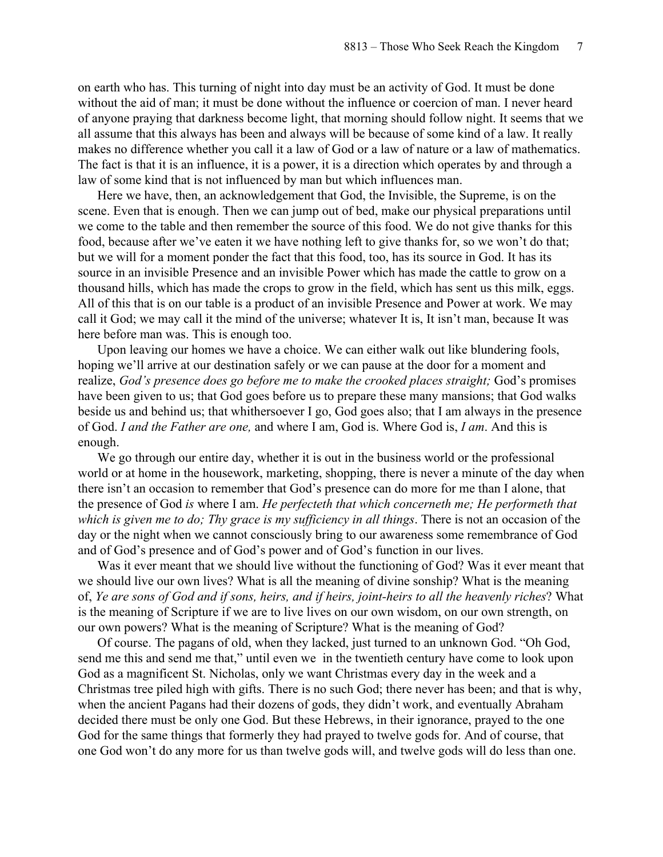on earth who has. This turning of night into day must be an activity of God. It must be done without the aid of man; it must be done without the influence or coercion of man. I never heard of anyone praying that darkness become light, that morning should follow night. It seems that we all assume that this always has been and always will be because of some kind of a law. It really makes no difference whether you call it a law of God or a law of nature or a law of mathematics. The fact is that it is an influence, it is a power, it is a direction which operates by and through a law of some kind that is not influenced by man but which influences man.

Here we have, then, an acknowledgement that God, the Invisible, the Supreme, is on the scene. Even that is enough. Then we can jump out of bed, make our physical preparations until we come to the table and then remember the source of this food. We do not give thanks for this food, because after we've eaten it we have nothing left to give thanks for, so we won't do that; but we will for a moment ponder the fact that this food, too, has its source in God. It has its source in an invisible Presence and an invisible Power which has made the cattle to grow on a thousand hills, which has made the crops to grow in the field, which has sent us this milk, eggs. All of this that is on our table is a product of an invisible Presence and Power at work. We may call it God; we may call it the mind of the universe; whatever It is, It isn't man, because It was here before man was. This is enough too.

Upon leaving our homes we have a choice. We can either walk out like blundering fools, hoping we'll arrive at our destination safely or we can pause at the door for a moment and realize, *God's presence does go before me to make the crooked places straight;* God's promises have been given to us; that God goes before us to prepare these many mansions; that God walks beside us and behind us; that whithersoever I go, God goes also; that I am always in the presence of God. *I and the Father are one,* and where I am, God is. Where God is, *I am*. And this is enough.

We go through our entire day, whether it is out in the business world or the professional world or at home in the housework, marketing, shopping, there is never a minute of the day when there isn't an occasion to remember that God's presence can do more for me than I alone, that the presence of God *is* where I am. *He perfecteth that which concerneth me; He performeth that which is given me to do; Thy grace is my sufficiency in all things*. There is not an occasion of the day or the night when we cannot consciously bring to our awareness some remembrance of God and of God's presence and of God's power and of God's function in our lives.

Was it ever meant that we should live without the functioning of God? Was it ever meant that we should live our own lives? What is all the meaning of divine sonship? What is the meaning of, *Ye are sons of God and if sons, heirs, and if heirs, joint-heirs to all the heavenly riches*? What is the meaning of Scripture if we are to live lives on our own wisdom, on our own strength, on our own powers? What is the meaning of Scripture? What is the meaning of God?

Of course. The pagans of old, when they lacked, just turned to an unknown God. "Oh God, send me this and send me that," until even we in the twentieth century have come to look upon God as a magnificent St. Nicholas, only we want Christmas every day in the week and a Christmas tree piled high with gifts. There is no such God; there never has been; and that is why, when the ancient Pagans had their dozens of gods, they didn't work, and eventually Abraham decided there must be only one God. But these Hebrews, in their ignorance, prayed to the one God for the same things that formerly they had prayed to twelve gods for. And of course, that one God won't do any more for us than twelve gods will, and twelve gods will do less than one.